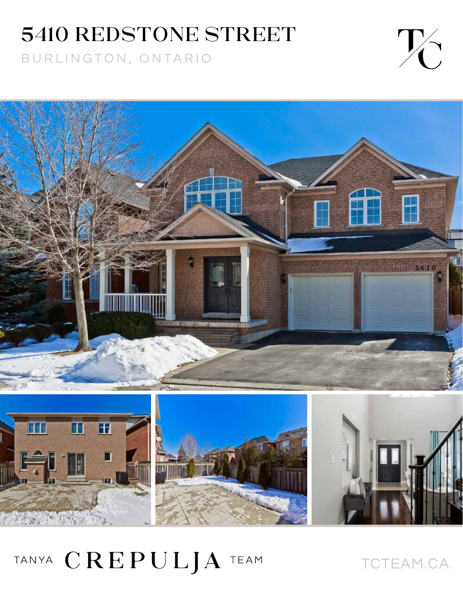## 5410 REDSTONE STREET

BURLINGTON, ONTARIO





TANYA CREPULJA TEAM

TCTEAM.CA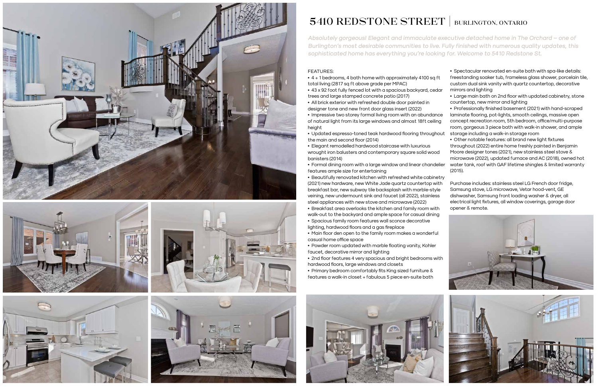**Absolutely gorgeous! Elegant and immaculate executive detached home in The Orchard – one of Burlington's most desirable communities to live. Fully finished with numerous quality updates, this sophisticated home has everything you're looking for. Welcome to 5410 Redstone St.**











## 5410 REDSTONE STREET | BURLINGTON, ONTARIO

- FEATURES: • 4 + 1 bedrooms, 4 bath home with approximately 4100 sq ft total living (2817 sq ft above grade per MPAC) • 43 x 92 foot fully fenced lot with a spacious backyard, cedar trees and large stamped concrete patio (2017) • All brick exterior with refreshed double door painted in • Spectacular renovated en-suite bath with spa-like details: freestanding soaker tub, frameless glass shower, porcelain tile, custom dual sink vanity with quartz countertop, decorative mirrors and lighting • Large main bath on 2nd floor with updated cabinetry, stone countertop, new mirror and lighting
- 
- designer tone and new front door glass insert (2022)
- Impressive two storey formal living room with an abundance of natural light from its large windows and almost 18ft ceiling height • Professionally finished basement (2021) with hand-scraped laminate flooring, pot-lights, smooth ceilings, massive open concept recreation room, 5th bedroom, office/multi-purpose room, gorgeous 3 piece bath with walk-in shower, and ample
- Updated espresso-toned teak hardwood flooring throughout the main and second floor (2014) • Elegant remodelled hardwood staircase with luxurious wrought iron balusters and contemporary square solid wood banisters (2014) • Formal dining room with a large window and linear chandelier storage including a walk-in storage room • Other notable features: all brand new light fixtures throughout (2022) entire home freshly painted in Benjamin Moore designer tones (2021), new stainless steel stove & microwave (2022), updated furnace and AC (2018), owned hot water tank, roof with GAF lifetime shingles & limited warranty
- 
- features ample size for entertaining
- Beautifully renovated kitchen with refreshed white cabinetry (2021) new hardware, new White Jade quartz countertop with breakfast bar, new subway tile backsplash with marble-style veining, new undermount sink and faucet (all 2022), stainless steel appliances with new stove and microwave (2022) (2015). Purchase includes: stainless steel LG French door fridge, Samsung stove, LG microwave, Vetar hood-vent, GE dishwasher, Samsung front loading washer & dryer, all electrical light fixtures, all window coverings, garage door opener & remote.
- Breakfast area overlooks the kitchen and family room with walk-out to the backyard and ample space for casual dining
- Spacious family room features wall sconce decorative lighting, hardwood floors and a gas fireplace
- Main floor den open to the family room makes a wonderful casual home office space
- Powder room updated with marble floating vanity, Kohler faucet, decorative mirror and lighting
- 2nd floor features 4 very spacious and bright bedrooms with hardwood floors, large windows and closets
- Primary bedroom comfortably fits King sized furniture & features a walk-in closet + fabulous 5 piece en-suite bath